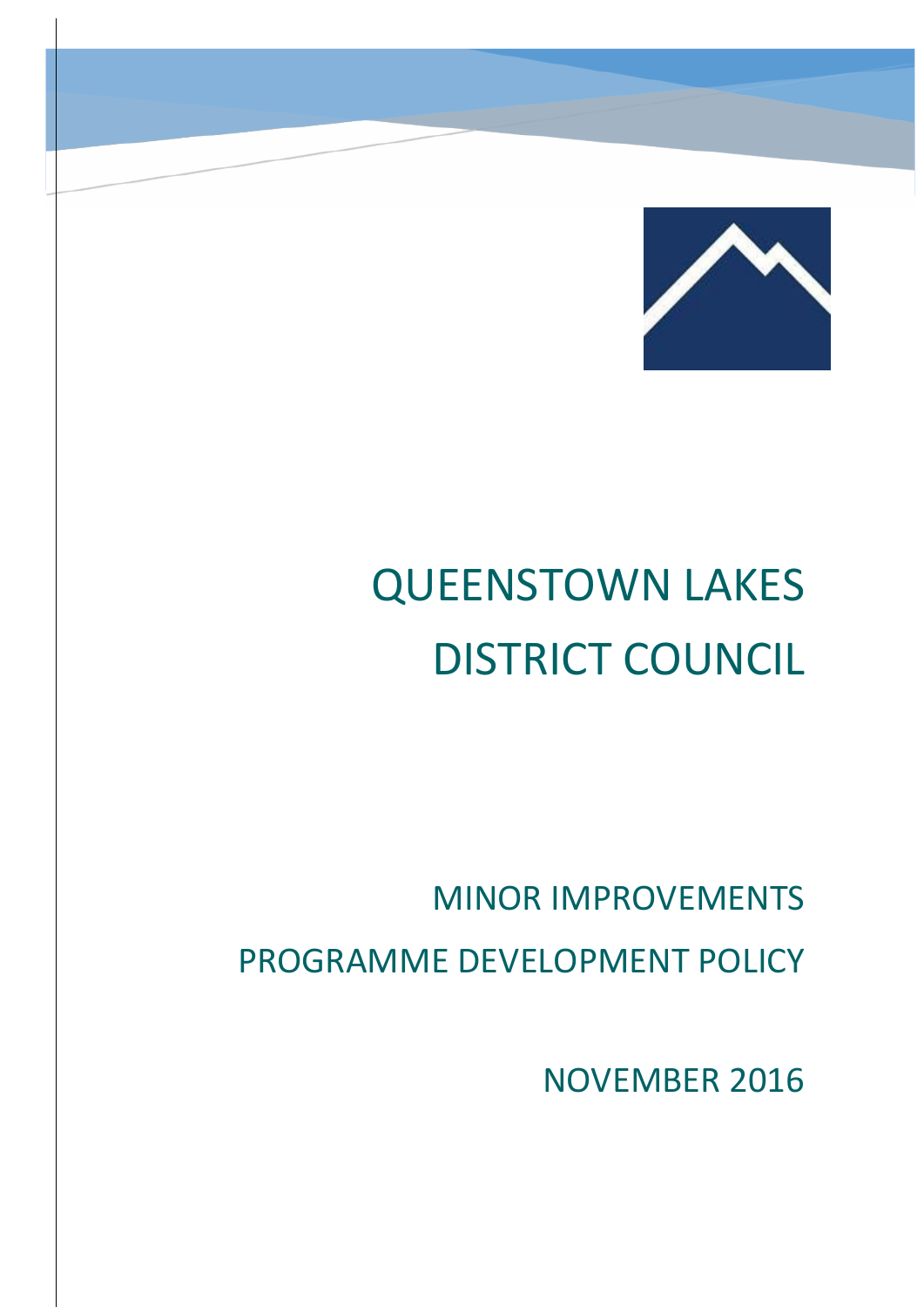

# QUEENSTOWN LAKES DISTRICT COUNCIL

# MINOR IMPROVEMENTS PROGRAMME DEVELOPMENT POLICY

NOVEMBER 2016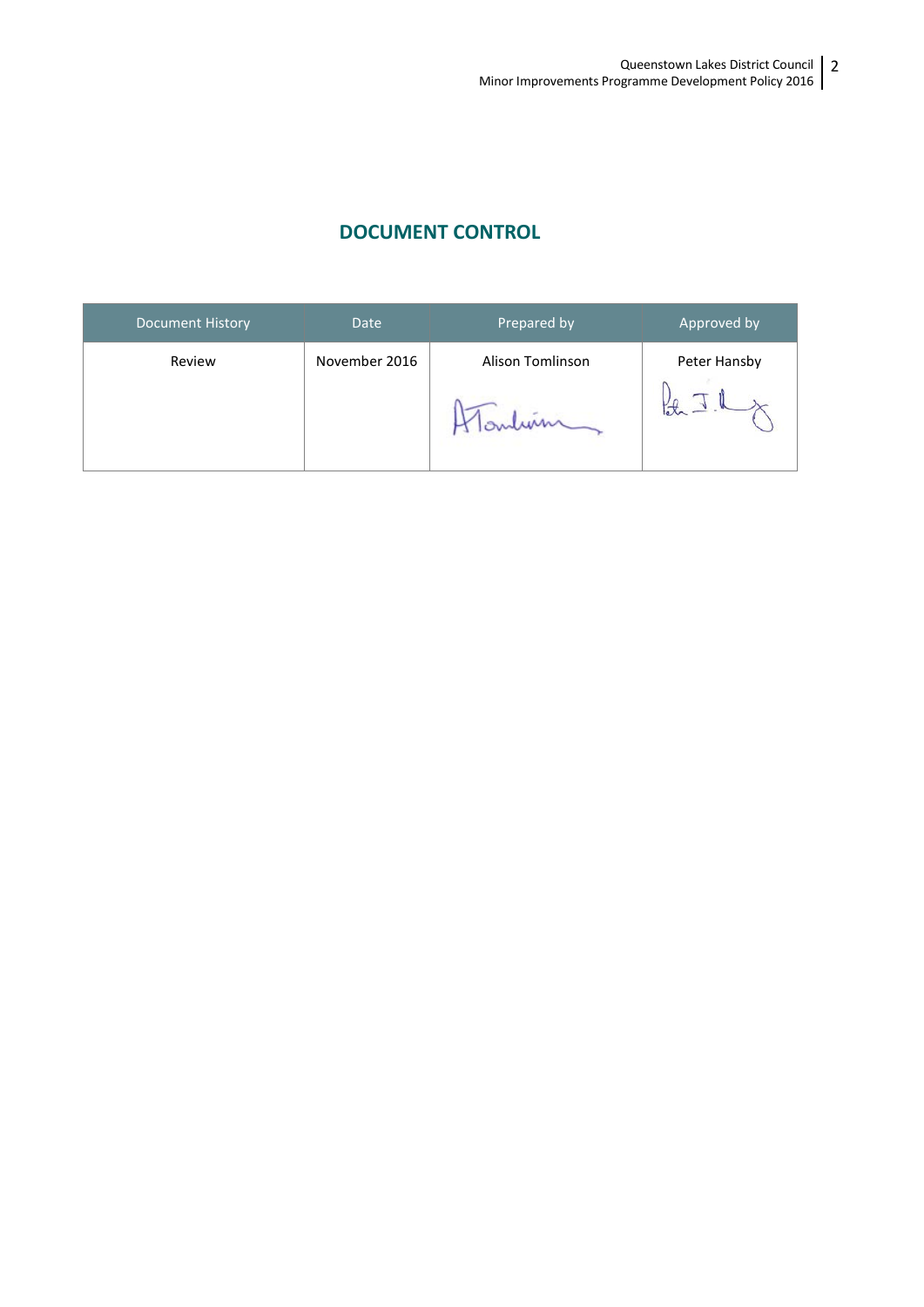### **DOCUMENT CONTROL**

| <b>Document History</b> | <b>Date</b>   | Prepared by      | Approved by  |
|-------------------------|---------------|------------------|--------------|
| Review                  | November 2016 | Alison Tomlinson | Peter Hansby |
|                         |               |                  |              |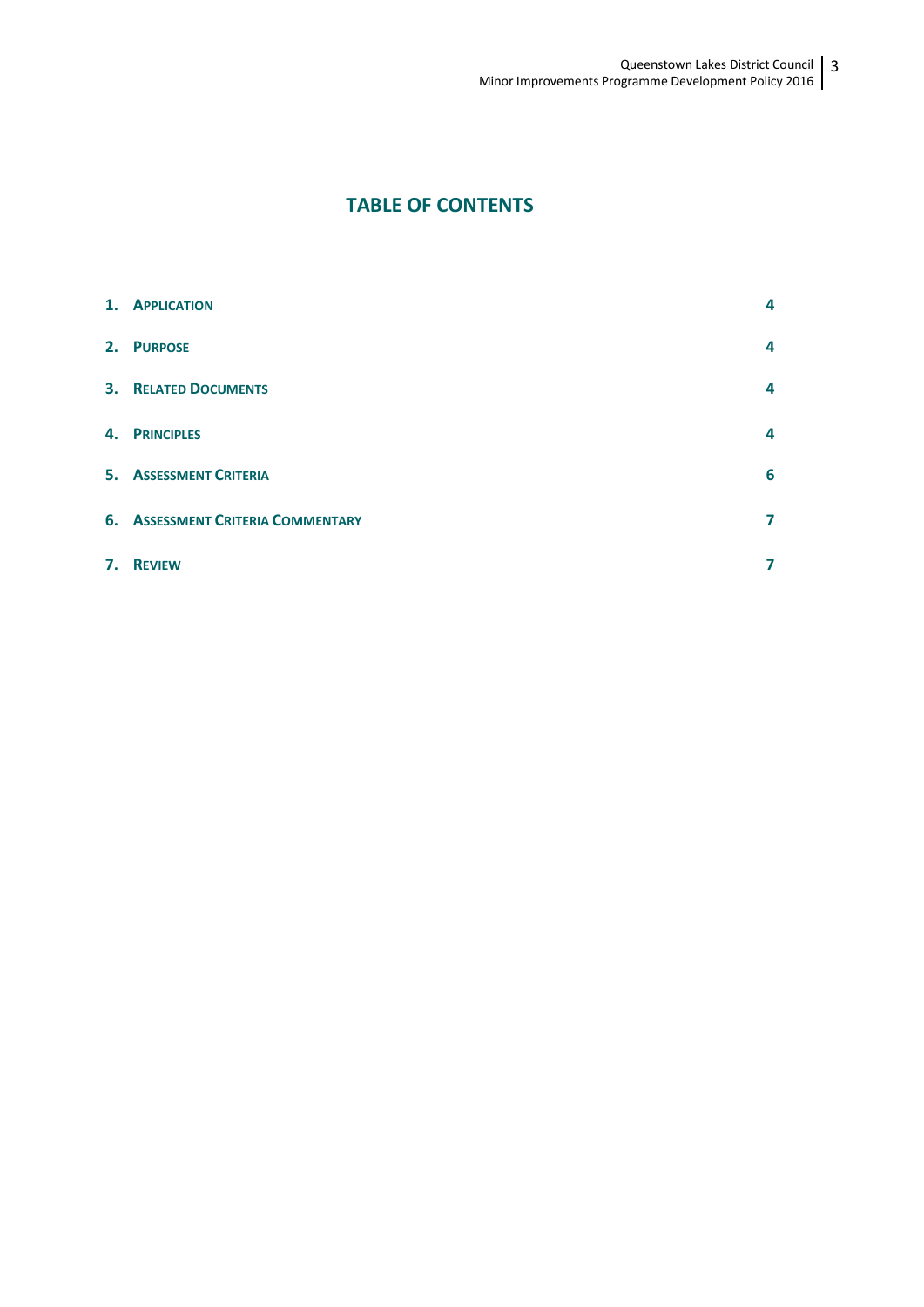## **TABLE OF CONTENTS**

|    | 1. APPLICATION                           | 4 |
|----|------------------------------------------|---|
|    | 2. PURPOSE                               | 4 |
|    | <b>3. RELATED DOCUMENTS</b>              | 4 |
|    | 4. PRINCIPLES                            | 4 |
|    | <b>5. ASSESSMENT CRITERIA</b>            | 6 |
|    | <b>6. ASSESSMENT CRITERIA COMMENTARY</b> | 7 |
| 7. | <b>REVIEW</b>                            |   |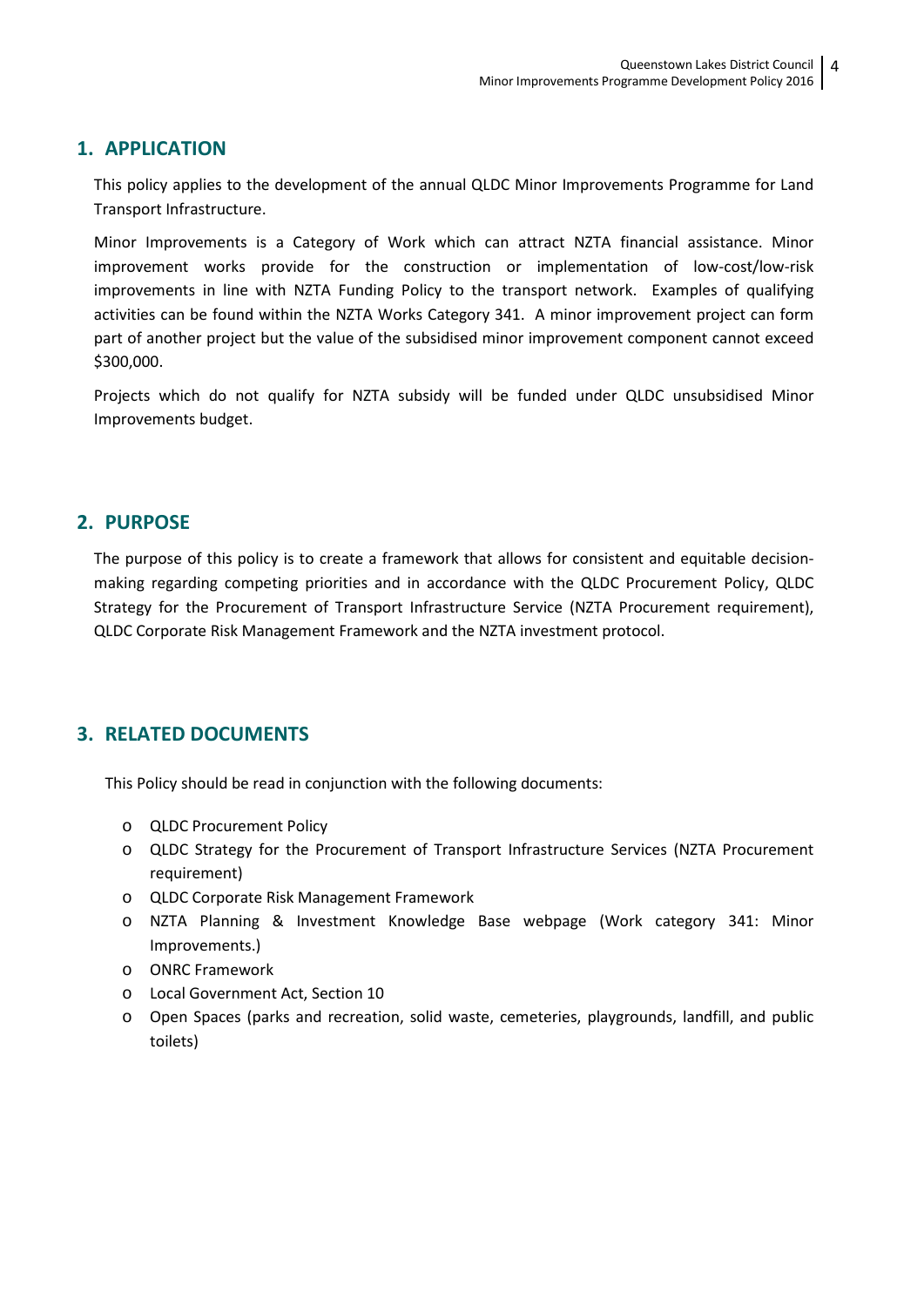#### **1. APPLICATION**

This policy applies to the development of the annual QLDC Minor Improvements Programme for Land Transport Infrastructure.

Minor Improvements is a Category of Work which can attract NZTA financial assistance. Minor improvement works provide for the construction or implementation of low-cost/low-risk improvements in line with NZTA Funding Policy to the transport network. Examples of qualifying activities can be found within the NZTA Works Category 341. A minor improvement project can form part of another project but the value of the subsidised minor improvement component cannot exceed \$300,000.

Projects which do not qualify for NZTA subsidy will be funded under QLDC unsubsidised Minor Improvements budget.

#### **2. PURPOSE**

The purpose of this policy is to create a framework that allows for consistent and equitable decisionmaking regarding competing priorities and in accordance with the QLDC Procurement Policy, QLDC Strategy for the Procurement of Transport Infrastructure Service (NZTA Procurement requirement), QLDC Corporate Risk Management Framework and the NZTA investment protocol.

#### **3. RELATED DOCUMENTS**

This Policy should be read in conjunction with the following documents:

- o QLDC Procurement Policy
- o QLDC Strategy for the Procurement of Transport Infrastructure Services (NZTA Procurement requirement)
- o QLDC Corporate Risk Management Framework
- o NZTA Planning & Investment Knowledge Base webpage (Work category 341: Minor Improvements.)
- o ONRC Framework
- o Local Government Act, Section 10
- o Open Spaces (parks and recreation, solid waste, cemeteries, playgrounds, landfill, and public toilets)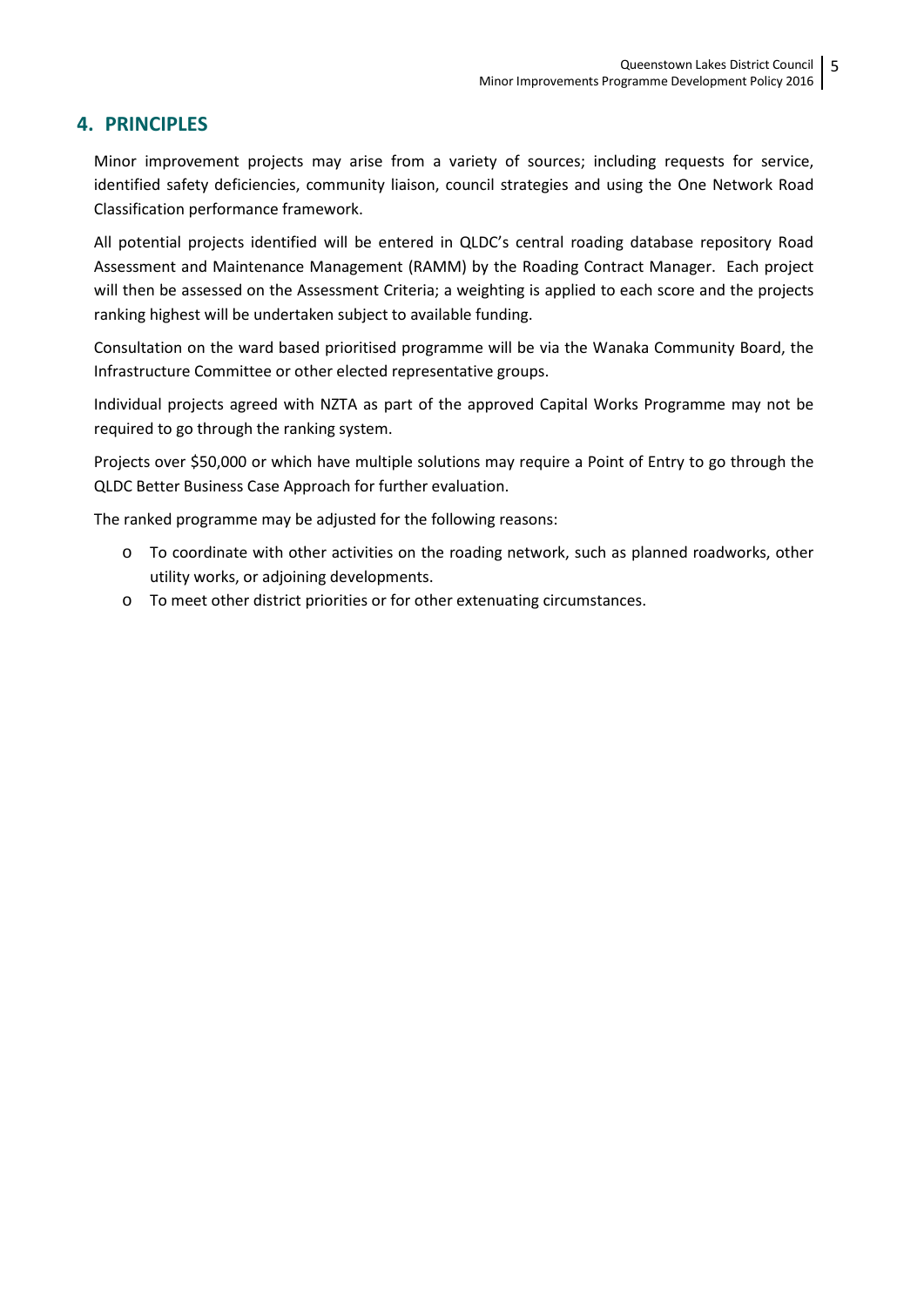#### **4. PRINCIPLES**

Minor improvement projects may arise from a variety of sources; including requests for service, identified safety deficiencies, community liaison, council strategies and using the One Network Road Classification performance framework.

All potential projects identified will be entered in QLDC's central roading database repository Road Assessment and Maintenance Management (RAMM) by the Roading Contract Manager. Each project will then be assessed on the Assessment Criteria; a weighting is applied to each score and the projects ranking highest will be undertaken subject to available funding.

Consultation on the ward based prioritised programme will be via the Wanaka Community Board, the Infrastructure Committee or other elected representative groups.

Individual projects agreed with NZTA as part of the approved Capital Works Programme may not be required to go through the ranking system.

Projects over \$50,000 or which have multiple solutions may require a Point of Entry to go through the QLDC Better Business Case Approach for further evaluation.

The ranked programme may be adjusted for the following reasons:

- o To coordinate with other activities on the roading network, such as planned roadworks, other utility works, or adjoining developments.
- o To meet other district priorities or for other extenuating circumstances.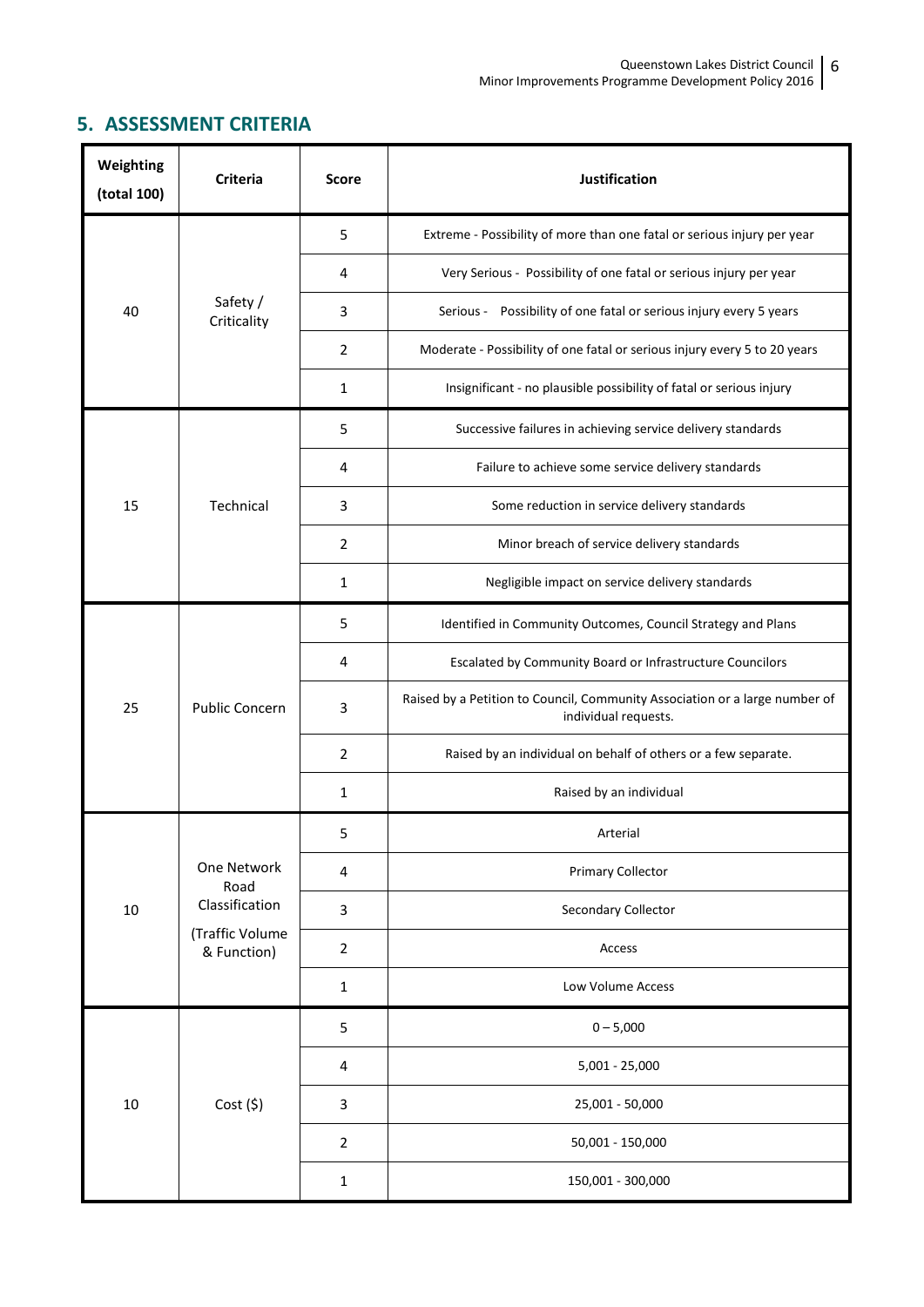# **5. ASSESSMENT CRITERIA**

| Weighting<br>(total 100) | <b>Criteria</b>                                                         | <b>Score</b>   | Justification                                                                                       |  |
|--------------------------|-------------------------------------------------------------------------|----------------|-----------------------------------------------------------------------------------------------------|--|
| 40                       | Safety /<br>Criticality                                                 | 5              | Extreme - Possibility of more than one fatal or serious injury per year                             |  |
|                          |                                                                         | 4              | Very Serious - Possibility of one fatal or serious injury per year                                  |  |
|                          |                                                                         | 3              | Serious - Possibility of one fatal or serious injury every 5 years                                  |  |
|                          |                                                                         | 2              | Moderate - Possibility of one fatal or serious injury every 5 to 20 years                           |  |
|                          |                                                                         | 1              | Insignificant - no plausible possibility of fatal or serious injury                                 |  |
|                          | Technical                                                               | 5              | Successive failures in achieving service delivery standards                                         |  |
|                          |                                                                         | 4              | Failure to achieve some service delivery standards                                                  |  |
| 15                       |                                                                         | 3              | Some reduction in service delivery standards                                                        |  |
|                          |                                                                         | 2              | Minor breach of service delivery standards                                                          |  |
|                          |                                                                         | $\mathbf{1}$   | Negligible impact on service delivery standards                                                     |  |
| 25                       | Public Concern                                                          | 5              | Identified in Community Outcomes, Council Strategy and Plans                                        |  |
|                          |                                                                         | 4              | Escalated by Community Board or Infrastructure Councilors                                           |  |
|                          |                                                                         | 3              | Raised by a Petition to Council, Community Association or a large number of<br>individual requests. |  |
|                          |                                                                         | $\overline{2}$ | Raised by an individual on behalf of others or a few separate.                                      |  |
|                          |                                                                         | 1              | Raised by an individual                                                                             |  |
| 10                       | One Network<br>Road<br>Classification<br>(Traffic Volume<br>& Function) | 5              | Arterial                                                                                            |  |
|                          |                                                                         | 4              | <b>Primary Collector</b>                                                                            |  |
|                          |                                                                         | 3              | Secondary Collector                                                                                 |  |
|                          |                                                                         | $\overline{2}$ | Access                                                                                              |  |
|                          |                                                                         | $\mathbf{1}$   | Low Volume Access                                                                                   |  |
| 10                       | Cost(5)                                                                 | 5              | $0 - 5,000$                                                                                         |  |
|                          |                                                                         | 4              | $5,001 - 25,000$                                                                                    |  |
|                          |                                                                         | 3              | 25,001 - 50,000                                                                                     |  |
|                          |                                                                         | $\overline{2}$ | 50,001 - 150,000                                                                                    |  |
|                          |                                                                         | $\mathbf{1}$   | 150,001 - 300,000                                                                                   |  |